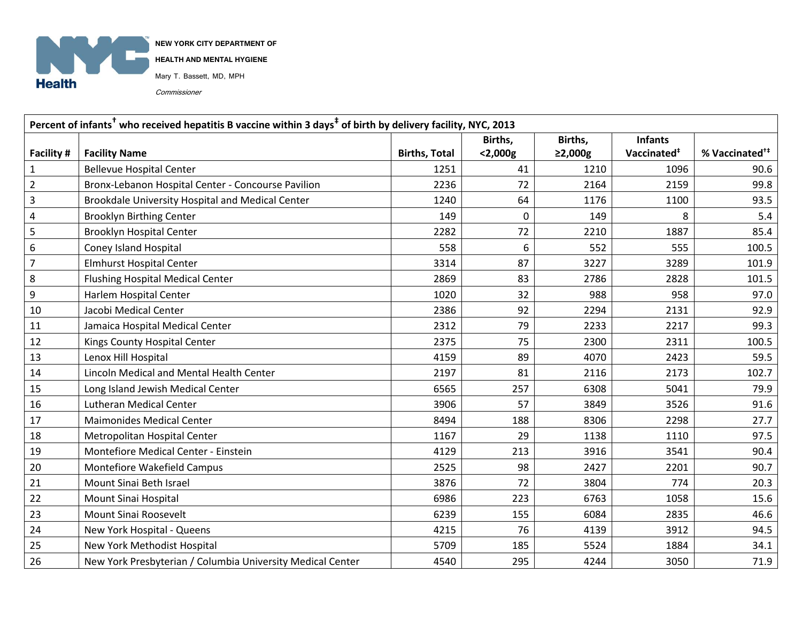

**NEW YORK CITY DEPARTMENT OF** 

**HEALTH AND MENTAL HYGIENE**

Mary T. Bassett, MD, MPH

Commissioner

| Percent of infants <sup>†</sup> who received hepatitis B vaccine within 3 days <sup>‡</sup> of birth by delivery facility, NYC, 2013 |                                                            |                      |            |               |                         |                            |  |  |  |
|--------------------------------------------------------------------------------------------------------------------------------------|------------------------------------------------------------|----------------------|------------|---------------|-------------------------|----------------------------|--|--|--|
|                                                                                                                                      |                                                            |                      | Births,    | Births,       | <b>Infants</b>          |                            |  |  |  |
| Facility #                                                                                                                           | <b>Facility Name</b>                                       | <b>Births, Total</b> | $<$ 2,000g | $\geq$ 2,000g | Vaccinated <sup>#</sup> | % Vaccinated <sup>+‡</sup> |  |  |  |
| $\mathbf{1}$                                                                                                                         | <b>Bellevue Hospital Center</b>                            | 1251                 | 41         | 1210          | 1096                    | 90.6                       |  |  |  |
| $\overline{2}$                                                                                                                       | Bronx-Lebanon Hospital Center - Concourse Pavilion         | 2236                 | 72         | 2164          | 2159                    | 99.8                       |  |  |  |
| 3                                                                                                                                    | Brookdale University Hospital and Medical Center           | 1240                 | 64         | 1176          | 1100                    | 93.5                       |  |  |  |
| 4                                                                                                                                    | <b>Brooklyn Birthing Center</b>                            | 149                  | $\Omega$   | 149           | 8                       | 5.4                        |  |  |  |
| 5                                                                                                                                    | <b>Brooklyn Hospital Center</b>                            | 2282                 | 72         | 2210          | 1887                    | 85.4                       |  |  |  |
| 6                                                                                                                                    | <b>Coney Island Hospital</b>                               | 558                  | 6          | 552           | 555                     | 100.5                      |  |  |  |
| $\overline{7}$                                                                                                                       | <b>Elmhurst Hospital Center</b>                            | 3314                 | 87         | 3227          | 3289                    | 101.9                      |  |  |  |
| 8                                                                                                                                    | <b>Flushing Hospital Medical Center</b>                    | 2869                 | 83         | 2786          | 2828                    | 101.5                      |  |  |  |
| 9                                                                                                                                    | Harlem Hospital Center                                     | 1020                 | 32         | 988           | 958                     | 97.0                       |  |  |  |
| 10                                                                                                                                   | Jacobi Medical Center                                      | 2386                 | 92         | 2294          | 2131                    | 92.9                       |  |  |  |
| 11                                                                                                                                   | Jamaica Hospital Medical Center                            | 2312                 | 79         | 2233          | 2217                    | 99.3                       |  |  |  |
| 12                                                                                                                                   | Kings County Hospital Center                               | 2375                 | 75         | 2300          | 2311                    | 100.5                      |  |  |  |
| 13                                                                                                                                   | Lenox Hill Hospital                                        | 4159                 | 89         | 4070          | 2423                    | 59.5                       |  |  |  |
| 14                                                                                                                                   | Lincoln Medical and Mental Health Center                   | 2197                 | 81         | 2116          | 2173                    | 102.7                      |  |  |  |
| 15                                                                                                                                   | Long Island Jewish Medical Center                          | 6565                 | 257        | 6308          | 5041                    | 79.9                       |  |  |  |
| 16                                                                                                                                   | <b>Lutheran Medical Center</b>                             | 3906                 | 57         | 3849          | 3526                    | 91.6                       |  |  |  |
| 17                                                                                                                                   | <b>Maimonides Medical Center</b>                           | 8494                 | 188        | 8306          | 2298                    | 27.7                       |  |  |  |
| 18                                                                                                                                   | Metropolitan Hospital Center                               | 1167                 | 29         | 1138          | 1110                    | 97.5                       |  |  |  |
| 19                                                                                                                                   | Montefiore Medical Center - Einstein                       | 4129                 | 213        | 3916          | 3541                    | 90.4                       |  |  |  |
| 20                                                                                                                                   | Montefiore Wakefield Campus                                | 2525                 | 98         | 2427          | 2201                    | 90.7                       |  |  |  |
| 21                                                                                                                                   | Mount Sinai Beth Israel                                    | 3876                 | 72         | 3804          | 774                     | 20.3                       |  |  |  |
| 22                                                                                                                                   | Mount Sinai Hospital                                       | 6986                 | 223        | 6763          | 1058                    | 15.6                       |  |  |  |
| 23                                                                                                                                   | Mount Sinai Roosevelt                                      | 6239                 | 155        | 6084          | 2835                    | 46.6                       |  |  |  |
| 24                                                                                                                                   | New York Hospital - Queens                                 | 4215                 | 76         | 4139          | 3912                    | 94.5                       |  |  |  |
| 25                                                                                                                                   | New York Methodist Hospital                                | 5709                 | 185        | 5524          | 1884                    | 34.1                       |  |  |  |
| 26                                                                                                                                   | New York Presbyterian / Columbia University Medical Center | 4540                 | 295        | 4244          | 3050                    | 71.9                       |  |  |  |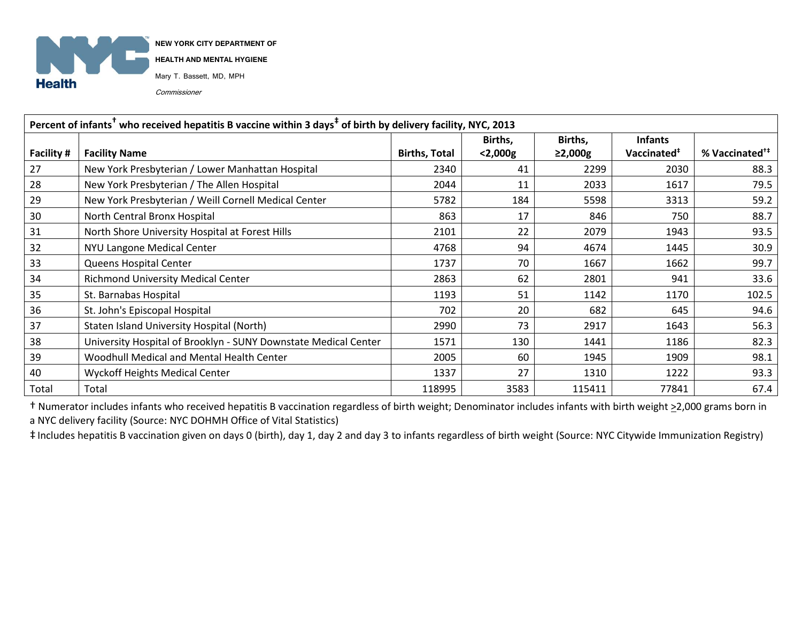

**NEW YORK CITY DEPARTMENT OF** 

**HEALTH AND MENTAL HYGIENE**

Mary T. Bassett, MD, MPH

Commissioner

| Percent of infants <sup>†</sup> who received hepatitis B vaccine within 3 days <sup>‡</sup> of birth by delivery facility, NYC, 2013 |                                                                 |                      |            |               |                         |                            |  |  |  |
|--------------------------------------------------------------------------------------------------------------------------------------|-----------------------------------------------------------------|----------------------|------------|---------------|-------------------------|----------------------------|--|--|--|
|                                                                                                                                      |                                                                 |                      | Births,    | Births,       | <b>Infants</b>          |                            |  |  |  |
| Facility #                                                                                                                           | <b>Facility Name</b>                                            | <b>Births, Total</b> | $<$ 2,000g | $\geq$ 2,000g | Vaccinated <sup>#</sup> | % Vaccinated <sup>†‡</sup> |  |  |  |
| 27                                                                                                                                   | New York Presbyterian / Lower Manhattan Hospital                | 2340                 | 41         | 2299          | 2030                    | 88.3                       |  |  |  |
| 28                                                                                                                                   | New York Presbyterian / The Allen Hospital                      | 2044                 | 11         | 2033          | 1617                    | 79.5                       |  |  |  |
| 29                                                                                                                                   | New York Presbyterian / Weill Cornell Medical Center            | 5782                 | 184        | 5598          | 3313                    | 59.2                       |  |  |  |
| 30                                                                                                                                   | North Central Bronx Hospital                                    | 863                  | 17         | 846           | 750                     | 88.7                       |  |  |  |
| 31                                                                                                                                   | North Shore University Hospital at Forest Hills                 | 2101                 | 22         | 2079          | 1943                    | 93.5                       |  |  |  |
| 32                                                                                                                                   | NYU Langone Medical Center                                      | 4768                 | 94         | 4674          | 1445                    | 30.9                       |  |  |  |
| 33                                                                                                                                   | Queens Hospital Center                                          | 1737                 | 70         | 1667          | 1662                    | 99.7                       |  |  |  |
| 34                                                                                                                                   | <b>Richmond University Medical Center</b>                       | 2863                 | 62         | 2801          | 941                     | 33.6                       |  |  |  |
| 35                                                                                                                                   | St. Barnabas Hospital                                           | 1193                 | 51         | 1142          | 1170                    | 102.5                      |  |  |  |
| 36                                                                                                                                   | St. John's Episcopal Hospital                                   | 702                  | 20         | 682           | 645                     | 94.6                       |  |  |  |
| 37                                                                                                                                   | Staten Island University Hospital (North)                       | 2990                 | 73         | 2917          | 1643                    | 56.3                       |  |  |  |
| 38                                                                                                                                   | University Hospital of Brooklyn - SUNY Downstate Medical Center | 1571                 | 130        | 1441          | 1186                    | 82.3                       |  |  |  |
| 39                                                                                                                                   | Woodhull Medical and Mental Health Center                       | 2005                 | 60         | 1945          | 1909                    | 98.1                       |  |  |  |
| 40                                                                                                                                   | <b>Wyckoff Heights Medical Center</b>                           | 1337                 | 27         | 1310          | 1222                    | 93.3                       |  |  |  |
| Total                                                                                                                                | Total                                                           | 118995               | 3583       | 115411        | 77841                   | 67.4                       |  |  |  |

† Numerator includes infants who received hepatitis B vaccination regardless of birth weight; Denominator includes infants with birth weight >2,000 grams born in a NYC delivery facility (Source: NYC DOHMH Office of Vital Statistics)

‡ Includes hepatitis B vaccination given on days 0 (birth), day 1, day 2 and day 3 to infants regardless of birth weight (Source: NYC Citywide Immunization Registry)